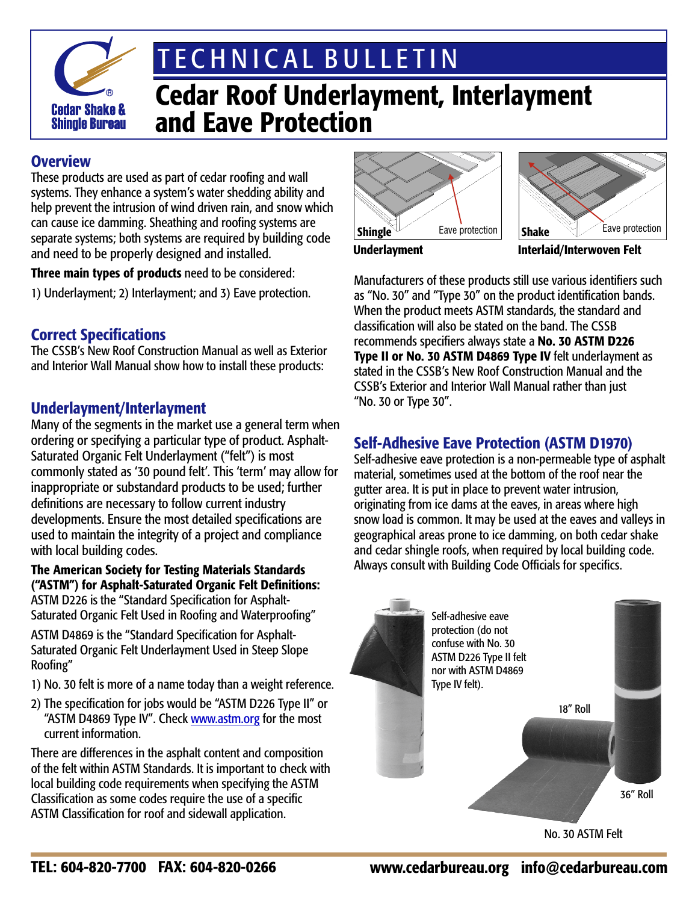

# T E C H N I C A L B U L L E T I N

# Cedar Roof Underlayment, Interlayment and Eave Protection

### **Overview**

These products are used as part of cedar roofing and wall systems. They enhance a system's water shedding ability and help prevent the intrusion of wind driven rain, and snow which can cause ice damming. Sheathing and roofing systems are separate systems; both systems are required by building code and need to be properly designed and installed.

Three main types of products need to be considered:

1) Underlayment; 2) Interlayment; and 3) Eave protection.

## Correct Specifications

The CSSB's New Roof Construction Manual as well as Exterior and Interior Wall Manual show how to install these products:

## Underlayment/Interlayment

Many of the segments in the market use a general term when ordering or specifying a particular type of product. Asphalt-Saturated Organic Felt Underlayment ("felt") is most commonly stated as '30 pound felt'. This 'term' may allow for inappropriate or substandard products to be used; further definitions are necessary to follow current industry developments. Ensure the most detailed specifications are used to maintain the integrity of a project and compliance with local building codes.

#### The American Society for Testing Materials Standards ("ASTM") for Asphalt-Saturated Organic Felt Definitions: ASTM D226 is the "Standard Specification for Asphalt-

Saturated Organic Felt Used in Roofing and Waterproofing"

ASTM D4869 is the "Standard Specification for Asphalt-Saturated Organic Felt Underlayment Used in Steep Slope Roofing"

- 1) No. 30 felt is more of a name today than a weight reference.
- 2) The specification for jobs would be "ASTM D226 Type II" or "ASTM D4869 Type IV". Check www.astm.org for the most current information.

There are differences in the asphalt content and composition of the felt within ASTM Standards. It is important to check with local building code requirements when specifying the ASTM Classification as some codes require the use of a specific ASTM Classification for roof and sidewall application.





Underlayment **Interlaid/Interwoven Felt** 

Manufacturers of these products still use various identifiers such as "No. 30" and "Type 30" on the product identification bands. When the product meets ASTM standards, the standard and classification will also be stated on the band. The CSSB recommends specifiers always state a No. 30 ASTM D226 Type II or No. 30 ASTM D4869 Type IV felt underlayment as stated in the CSSB's New Roof Construction Manual and the CSSB's Exterior and Interior Wall Manual rather than just "No. 30 or Type 30".

# Self-Adhesive Eave Protection (ASTM D1970)

Self-adhesive eave protection is a non-permeable type of asphalt material, sometimes used at the bottom of the roof near the gutter area. It is put in place to prevent water intrusion, originating from ice dams at the eaves, in areas where high snow load is common. It may be used at the eaves and valleys in geographical areas prone to ice damming, on both cedar shake and cedar shingle roofs, when required by local building code. Always consult with Building Code Officials for specifics.